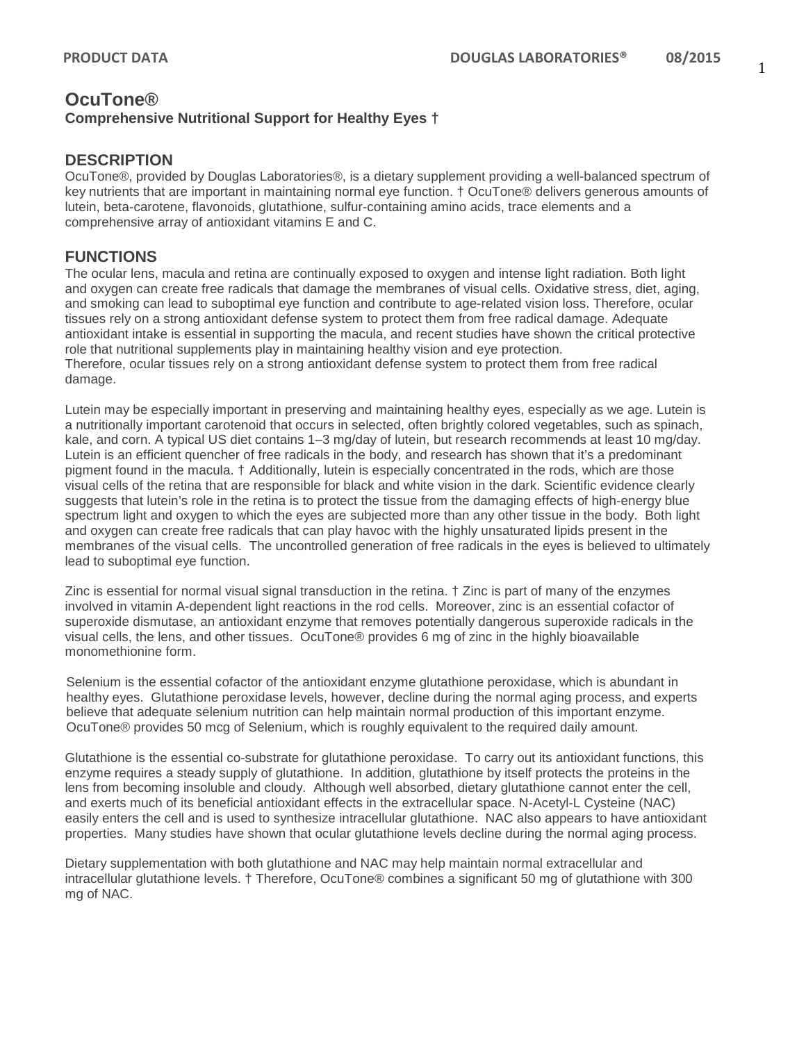# **OcuTone® Comprehensive Nutritional Support for Healthy Eyes †**

#### **DESCRIPTION**

OcuTone®, provided by Douglas Laboratories®, is a dietary supplement providing a well-balanced spectrum of key nutrients that are important in maintaining normal eye function. † OcuTone® delivers generous amounts of lutein, beta-carotene, flavonoids, glutathione, sulfur-containing amino acids, trace elements and a comprehensive array of antioxidant vitamins E and C.

#### **FUNCTIONS**

The ocular lens, macula and retina are continually exposed to oxygen and intense light radiation. Both light and oxygen can create free radicals that damage the membranes of visual cells. Oxidative stress, diet, aging, and smoking can lead to suboptimal eye function and contribute to age-related vision loss. Therefore, ocular tissues rely on a strong antioxidant defense system to protect them from free radical damage. Adequate antioxidant intake is essential in supporting the macula, and recent studies have shown the critical protective role that nutritional supplements play in maintaining healthy vision and eye protection. Therefore, ocular tissues rely on a strong antioxidant defense system to protect them from free radical damage.

Lutein may be especially important in preserving and maintaining healthy eyes, especially as we age. Lutein is a nutritionally important carotenoid that occurs in selected, often brightly colored vegetables, such as spinach, kale, and corn. A typical US diet contains 1–3 mg/day of lutein, but research recommends at least 10 mg/day. Lutein is an efficient quencher of free radicals in the body, and research has shown that it's a predominant pigment found in the macula. † Additionally, lutein is especially concentrated in the rods, which are those visual cells of the retina that are responsible for black and white vision in the dark. Scientific evidence clearly suggests that lutein's role in the retina is to protect the tissue from the damaging effects of high-energy blue spectrum light and oxygen to which the eyes are subjected more than any other tissue in the body. Both light and oxygen can create free radicals that can play havoc with the highly unsaturated lipids present in the membranes of the visual cells. The uncontrolled generation of free radicals in the eyes is believed to ultimately lead to suboptimal eye function.

Zinc is essential for normal visual signal transduction in the retina. † Zinc is part of many of the enzymes involved in vitamin A-dependent light reactions in the rod cells. Moreover, zinc is an essential cofactor of superoxide dismutase, an antioxidant enzyme that removes potentially dangerous superoxide radicals in the visual cells, the lens, and other tissues. OcuTone® provides 6 mg of zinc in the highly bioavailable monomethionine form.

Selenium is the essential cofactor of the antioxidant enzyme glutathione peroxidase, which is abundant in healthy eyes. Glutathione peroxidase levels, however, decline during the normal aging process, and experts believe that adequate selenium nutrition can help maintain normal production of this important enzyme. OcuTone® provides 50 mcg of Selenium, which is roughly equivalent to the required daily amount.

Glutathione is the essential co-substrate for glutathione peroxidase. To carry out its antioxidant functions, this enzyme requires a steady supply of glutathione. In addition, glutathione by itself protects the proteins in the lens from becoming insoluble and cloudy. Although well absorbed, dietary glutathione cannot enter the cell, and exerts much of its beneficial antioxidant effects in the extracellular space. N-Acetyl-L Cysteine (NAC) easily enters the cell and is used to synthesize intracellular glutathione. NAC also appears to have antioxidant properties. Many studies have shown that ocular glutathione levels decline during the normal aging process.

Dietary supplementation with both glutathione and NAC may help maintain normal extracellular and intracellular glutathione levels. † Therefore, OcuTone® combines a significant 50 mg of glutathione with 300 mg of NAC.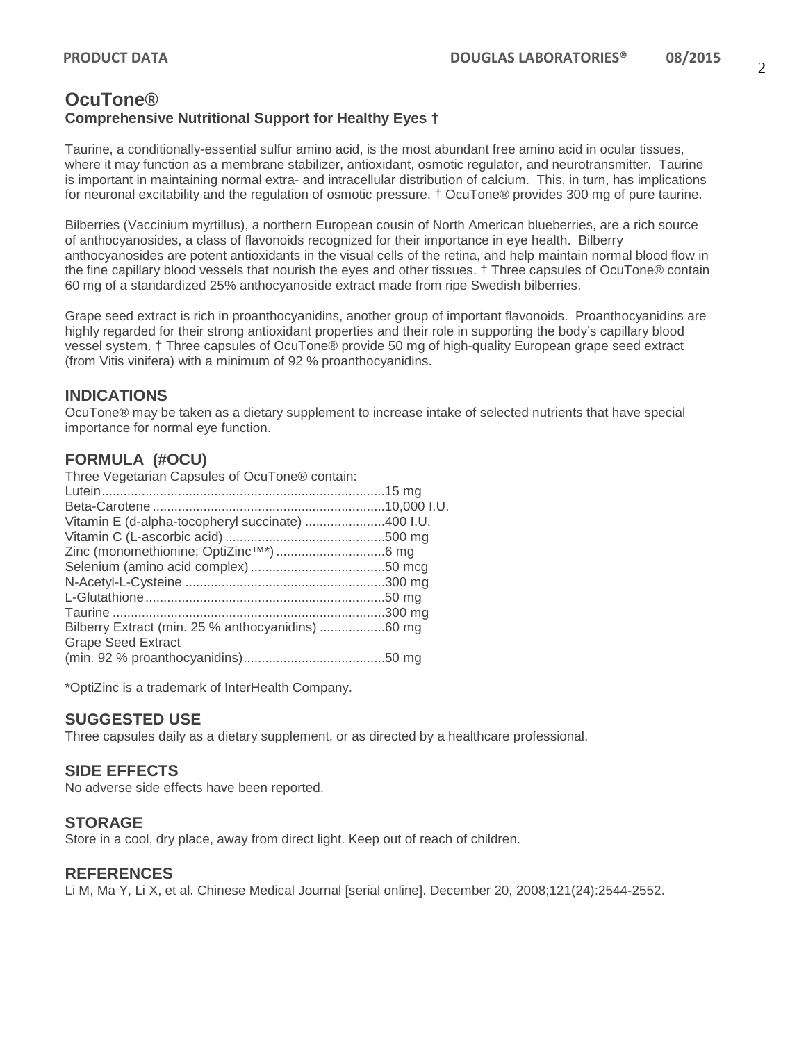## **OcuTone® Comprehensive Nutritional Support for Healthy Eyes †**

Taurine, a conditionally-essential sulfur amino acid, is the most abundant free amino acid in ocular tissues, where it may function as a membrane stabilizer, antioxidant, osmotic regulator, and neurotransmitter. Taurine is important in maintaining normal extra- and intracellular distribution of calcium. This, in turn, has implications for neuronal excitability and the regulation of osmotic pressure. † OcuTone® provides 300 mg of pure taurine.

Bilberries (Vaccinium myrtillus), a northern European cousin of North American blueberries, are a rich source of anthocyanosides, a class of flavonoids recognized for their importance in eye health. Bilberry anthocyanosides are potent antioxidants in the visual cells of the retina, and help maintain normal blood flow in the fine capillary blood vessels that nourish the eyes and other tissues. † Three capsules of OcuTone® contain 60 mg of a standardized 25% anthocyanoside extract made from ripe Swedish bilberries.

Grape seed extract is rich in proanthocyanidins, another group of important flavonoids. Proanthocyanidins are highly regarded for their strong antioxidant properties and their role in supporting the body's capillary blood vessel system. † Three capsules of OcuTone® provide 50 mg of high-quality European grape seed extract (from Vitis vinifera) with a minimum of 92 % proanthocyanidins.

## **INDICATIONS**

OcuTone® may be taken as a dietary supplement to increase intake of selected nutrients that have special importance for normal eye function.

# **FORMULA (#OCU)**

| Three Vegetarian Capsules of OcuTone® contain:    |  |
|---------------------------------------------------|--|
|                                                   |  |
|                                                   |  |
| Vitamin E (d-alpha-tocopheryl succinate) 400 I.U. |  |
|                                                   |  |
|                                                   |  |
|                                                   |  |
|                                                   |  |
|                                                   |  |
|                                                   |  |
| Bilberry Extract (min. 25 % anthocyanidins) 60 mg |  |
| <b>Grape Seed Extract</b>                         |  |
|                                                   |  |

\*OptiZinc is a trademark of InterHealth Company.

## **SUGGESTED USE**

Three capsules daily as a dietary supplement, or as directed by a healthcare professional.

#### **SIDE EFFECTS**

No adverse side effects have been reported.

#### **STORAGE**

Store in a cool, dry place, away from direct light. Keep out of reach of children.

#### **REFERENCES**

Li M, Ma Y, Li X, et al. Chinese Medical Journal [serial online]. December 20, 2008;121(24):2544-2552.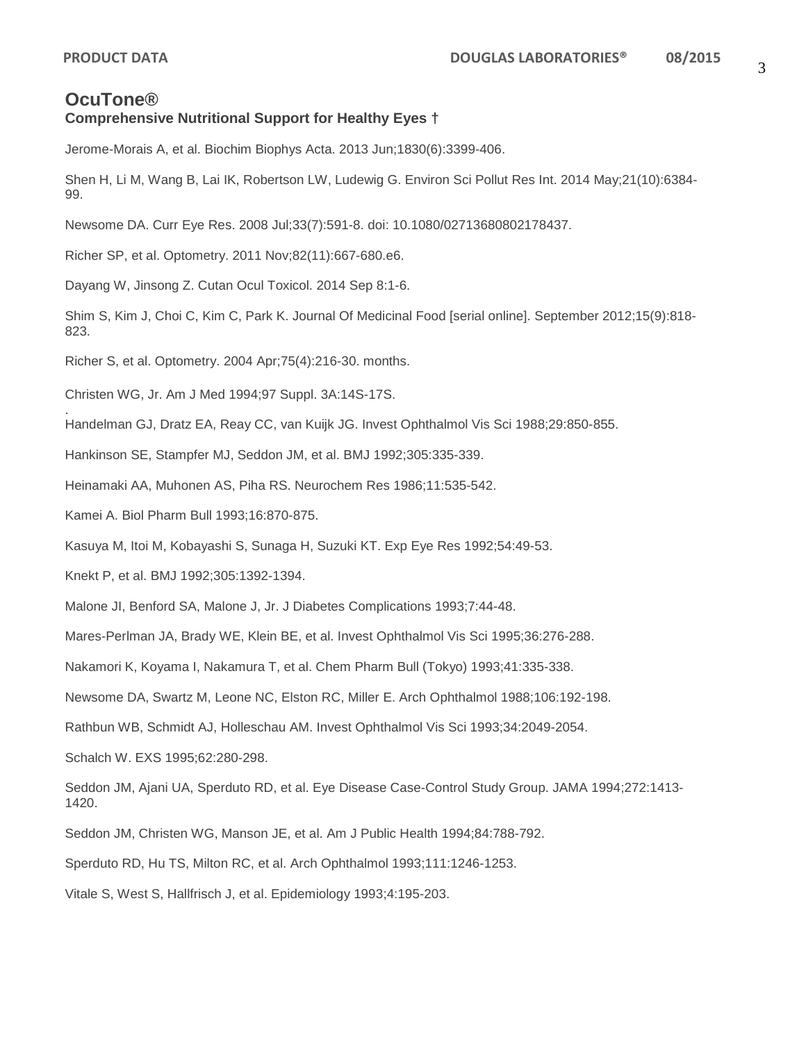# **OcuTone®**

#### **Comprehensive Nutritional Support for Healthy Eyes †**

Jerome-Morais A, et al. Biochim Biophys Acta. 2013 Jun;1830(6):3399-406.

Shen H, Li M, Wang B, Lai IK, Robertson LW, Ludewig G. Environ Sci Pollut Res Int. 2014 May;21(10):6384- 99.

Newsome DA. Curr Eye Res. 2008 Jul;33(7):591-8. doi: 10.1080/02713680802178437.

Richer SP, et al. Optometry. 2011 Nov;82(11):667-680.e6.

Dayang W, Jinsong Z. Cutan Ocul Toxicol. 2014 Sep 8:1-6.

Shim S, Kim J, Choi C, Kim C, Park K. Journal Of Medicinal Food [serial online]. September 2012;15(9):818- 823.

Richer S, et al. Optometry. 2004 Apr;75(4):216-30. months.

Christen WG, Jr. Am J Med 1994;97 Suppl. 3A:14S-17S.

. Handelman GJ, Dratz EA, Reay CC, van Kuijk JG. Invest Ophthalmol Vis Sci 1988;29:850-855.

Hankinson SE, Stampfer MJ, Seddon JM, et al. BMJ 1992;305:335-339.

Heinamaki AA, Muhonen AS, Piha RS. Neurochem Res 1986;11:535-542.

Kamei A. Biol Pharm Bull 1993;16:870-875.

Kasuya M, Itoi M, Kobayashi S, Sunaga H, Suzuki KT. Exp Eye Res 1992;54:49-53.

Knekt P, et al. BMJ 1992;305:1392-1394.

Malone JI, Benford SA, Malone J, Jr. J Diabetes Complications 1993;7:44-48.

Mares-Perlman JA, Brady WE, Klein BE, et al. Invest Ophthalmol Vis Sci 1995;36:276-288.

Nakamori K, Koyama I, Nakamura T, et al. Chem Pharm Bull (Tokyo) 1993;41:335-338.

Newsome DA, Swartz M, Leone NC, Elston RC, Miller E. Arch Ophthalmol 1988;106:192-198.

Rathbun WB, Schmidt AJ, Holleschau AM. Invest Ophthalmol Vis Sci 1993;34:2049-2054.

Schalch W. EXS 1995;62:280-298.

Seddon JM, Ajani UA, Sperduto RD, et al. Eye Disease Case-Control Study Group. JAMA 1994;272:1413- 1420.

Seddon JM, Christen WG, Manson JE, et al. Am J Public Health 1994;84:788-792.

Sperduto RD, Hu TS, Milton RC, et al. Arch Ophthalmol 1993;111:1246-1253.

Vitale S, West S, Hallfrisch J, et al. Epidemiology 1993;4:195-203.